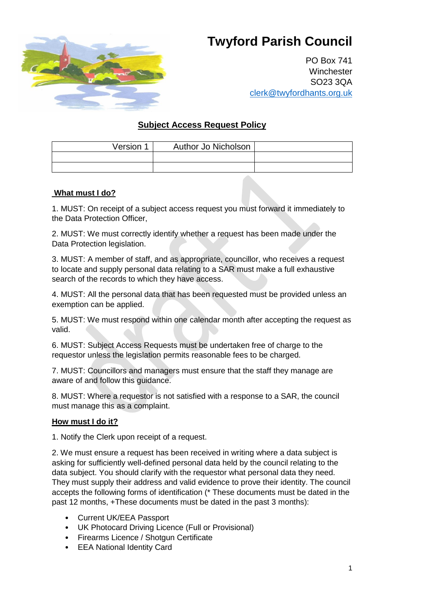# **Twyford Parish Council**



PO Box 741 **Winchester** SO23 3QA clerk@twyfordhants.org.uk

# **Subject Access Request Policy**

| Version 1 | Author Jo Nicholson |  |
|-----------|---------------------|--|
|           |                     |  |
|           |                     |  |

#### **What must I do?**

1. MUST: On receipt of a subject access request you must forward it immediately to the Data Protection Officer,

2. MUST: We must correctly identify whether a request has been made under the Data Protection legislation.

3. MUST: A member of staff, and as appropriate, councillor, who receives a request to locate and supply personal data relating to a SAR must make a full exhaustive search of the records to which they have access.

4. MUST: All the personal data that has been requested must be provided unless an exemption can be applied.

5. MUST: We must respond within one calendar month after accepting the request as valid.

6. MUST: Subject Access Requests must be undertaken free of charge to the requestor unless the legislation permits reasonable fees to be charged.

7. MUST: Councillors and managers must ensure that the staff they manage are aware of and follow this guidance.

8. MUST: Where a requestor is not satisfied with a response to a SAR, the council must manage this as a complaint.

#### **How must I do it?**

1. Notify the Clerk upon receipt of a request.

2. We must ensure a request has been received in writing where a data subject is asking for sufficiently well-defined personal data held by the council relating to the data subject. You should clarify with the requestor what personal data they need. They must supply their address and valid evidence to prove their identity. The council accepts the following forms of identification (\* These documents must be dated in the past 12 months, +These documents must be dated in the past 3 months):

- Current UK/EEA Passport
- UK Photocard Driving Licence (Full or Provisional)
- Firearms Licence / Shotgun Certificate
- EEA National Identity Card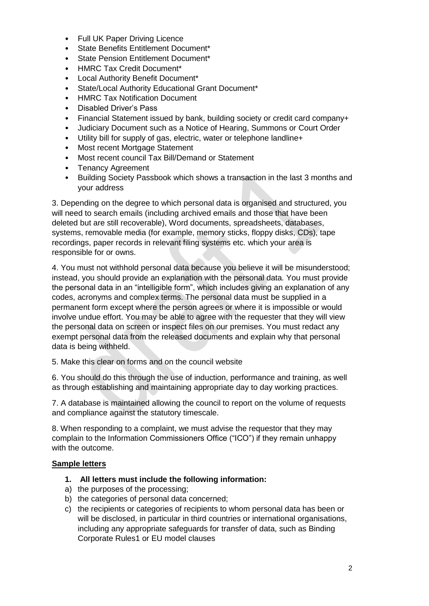- Full UK Paper Driving Licence
- State Benefits Entitlement Document\*
- State Pension Entitlement Document\*
- HMRC Tax Credit Document\*
- Local Authority Benefit Document\*
- State/Local Authority Educational Grant Document\*
- HMRC Tax Notification Document
- Disabled Driver's Pass
- Financial Statement issued by bank, building society or credit card company+
- Judiciary Document such as a Notice of Hearing, Summons or Court Order
- Utility bill for supply of gas, electric, water or telephone landline+
- Most recent Mortgage Statement
- Most recent council Tax Bill/Demand or Statement
- Tenancy Agreement
- Building Society Passbook which shows a transaction in the last 3 months and your address

3. Depending on the degree to which personal data is organised and structured, you will need to search emails (including archived emails and those that have been deleted but are still recoverable), Word documents, spreadsheets, databases, systems, removable media (for example, memory sticks, floppy disks, CDs), tape recordings, paper records in relevant filing systems etc. which your area is responsible for or owns.

4. You must not withhold personal data because you believe it will be misunderstood; instead, you should provide an explanation with the personal data. You must provide the personal data in an "intelligible form", which includes giving an explanation of any codes, acronyms and complex terms. The personal data must be supplied in a permanent form except where the person agrees or where it is impossible or would involve undue effort. You may be able to agree with the requester that they will view the personal data on screen or inspect files on our premises. You must redact any exempt personal data from the released documents and explain why that personal data is being withheld.

5. Make this clear on forms and on the council website

6. You should do this through the use of induction, performance and training, as well as through establishing and maintaining appropriate day to day working practices.

7. A database is maintained allowing the council to report on the volume of requests and compliance against the statutory timescale.

8. When responding to a complaint, we must advise the requestor that they may complain to the Information Commissioners Office ("ICO") if they remain unhappy with the outcome.

#### **Sample letters**

- **1. All letters must include the following information:**
- a) the purposes of the processing;
- b) the categories of personal data concerned;
- c) the recipients or categories of recipients to whom personal data has been or will be disclosed, in particular in third countries or international organisations, including any appropriate safeguards for transfer of data, such as Binding Corporate Rules1 or EU model clauses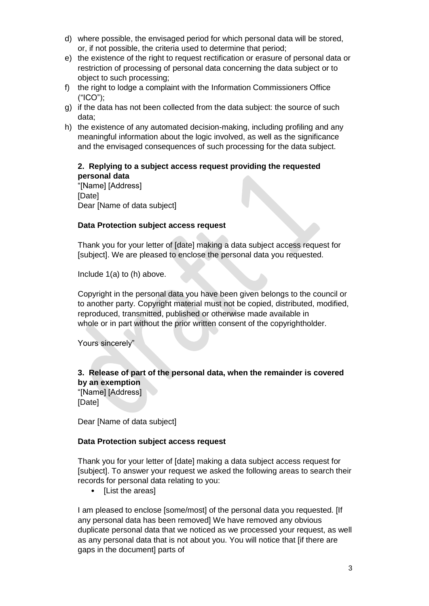- d) where possible, the envisaged period for which personal data will be stored, or, if not possible, the criteria used to determine that period;
- e) the existence of the right to request rectification or erasure of personal data or restriction of processing of personal data concerning the data subject or to object to such processing;
- f) the right to lodge a complaint with the Information Commissioners Office ("ICO");
- g) if the data has not been collected from the data subject: the source of such data;
- h) the existence of any automated decision-making, including profiling and any meaningful information about the logic involved, as well as the significance and the envisaged consequences of such processing for the data subject.

## **2. Replying to a subject access request providing the requested personal data**

"[Name] [Address] [Date] Dear [Name of data subject]

## **Data Protection subject access request**

Thank you for your letter of [date] making a data subject access request for [subject]. We are pleased to enclose the personal data you requested.

Include 1(a) to (h) above.

Copyright in the personal data you have been given belongs to the council or to another party. Copyright material must not be copied, distributed, modified, reproduced, transmitted, published or otherwise made available in whole or in part without the prior written consent of the copyrightholder.

Yours sincerely"

# **3. Release of part of the personal data, when the remainder is covered by an exemption**

"[Name] [Address] [Date]

Dear [Name of data subject]

## **Data Protection subject access request**

Thank you for your letter of [date] making a data subject access request for [subject]. To answer your request we asked the following areas to search their records for personal data relating to you:

• [List the areas]

I am pleased to enclose [some/most] of the personal data you requested. [If any personal data has been removed] We have removed any obvious duplicate personal data that we noticed as we processed your request, as well as any personal data that is not about you. You will notice that [if there are gaps in the document] parts of